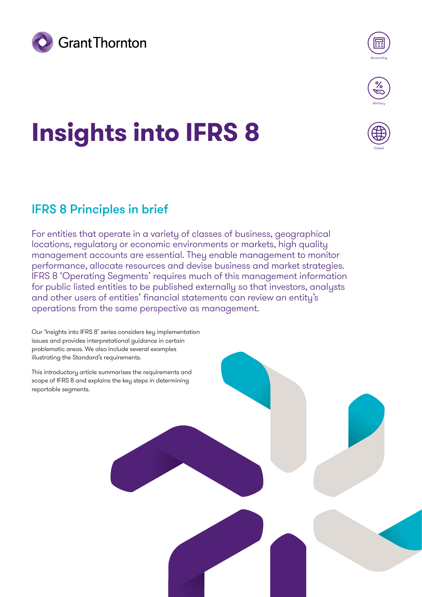



Globa

# **Insights into IFRS 8**

## IFRS 8 Principles in brief

For entities that operate in a variety of classes of business, geographical locations, regulatory or economic environments or markets, high quality management accounts are essential. They enable management to monitor performance, allocate resources and devise business and market strategies. IFRS 8 'Operating Segments' requires much of this management information for public listed entities to be published externally so that investors, analysts and other users of entities' financial statements can review an entity's operations from the same perspective as management.

Our 'Insights into IFRS 8' series considers key implementation issues and provides interpretational guidance in certain problematic areas. We also include several examples illustrating the Standard's requirements.

This introductory article summarises the requirements and scope of IFRS 8 and explains the key steps in determining reportable segments.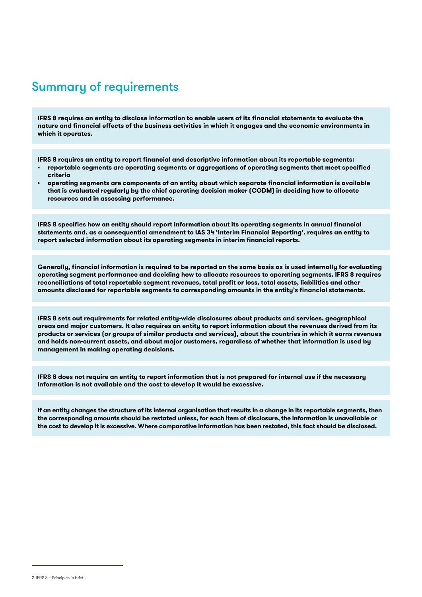#### Summary of requirements

**IFRS 8 requires an entity to disclose information to enable users of its financial statements to evaluate the nature and financial effects of the business activities in which it engages and the economic environments in which it operates.**

**IFRS 8 requires an entity to report financial and descriptive information about its reportable segments:**

- **reportable segments are operating segments or aggregations of operating segments that meet specified criteria**
- **operating segments are components of an entity about which separate financial information is available that is evaluated regularly by the chief operating decision maker (CODM) in deciding how to allocate resources and in assessing performance.**

**IFRS 8 specifies how an entity should report information about its operating segments in annual financial statements and, as a consequential amendment to IAS 34 'Interim Financial Reporting', requires an entity to report selected information about its operating segments in interim financial reports.**

**Generally, financial information is required to be reported on the same basis as is used internally for evaluating operating segment performance and deciding how to allocate resources to operating segments. IFRS 8 requires reconciliations of total reportable segment revenues, total profit or loss, total assets, liabilities and other amounts disclosed for reportable segments to corresponding amounts in the entity's financial statements.**

**IFRS 8 sets out requirements for related entity-wide disclosures about products and services, geographical areas and major customers. It also requires an entity to report information about the revenues derived from its products or services (or groups of similar products and services), about the countries in which it earns revenues and holds non-current assets, and about major customers, regardless of whether that information is used by management in making operating decisions.**

**IFRS 8 does not require an entity to report information that is not prepared for internal use if the necessary information is not available and the cost to develop it would be excessive.**

**If an entity changes the structure of its internal organisation that results in a change in its reportable segments, then the corresponding amounts should be restated unless, for each item of disclosure, the information is unavailable or the cost to develop it is excessive. Where comparative information has been restated, this fact should be disclosed.**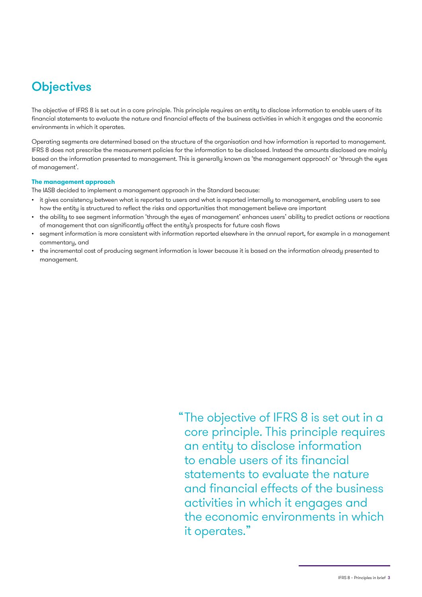## **Objectives**

The objective of IFRS 8 is set out in a core principle. This principle requires an entity to disclose information to enable users of its financial statements to evaluate the nature and financial effects of the business activities in which it engages and the economic environments in which it operates.

Operating segments are determined based on the structure of the organisation and how information is reported to management. IFRS 8 does not prescribe the measurement policies for the information to be disclosed. Instead the amounts disclosed are mainly based on the information presented to management. This is generally known as 'the management approach' or 'through the eyes of management'.

#### **The management approach**

The IASB decided to implement a management approach in the Standard because:

- it gives consistency between what is reported to users and what is reported internally to management, enabling users to see how the entity is structured to reflect the risks and opportunities that management believe are important
- the ability to see segment information 'through the eyes of management' enhances users' ability to predict actions or reactions of management that can significantly affect the entity's prospects for future cash flows
- segment information is more consistent with information reported elsewhere in the annual report, for example in a management commentary, and
- the incremental cost of producing segment information is lower because it is based on the information already presented to management.

 $\degree$ The objective of IFRS 8 is set out in a core principle. This principle requires an entity to disclose information to enable users of its financial statements to evaluate the nature and financial effects of the business activities in which it engages and the economic environments in which it operates."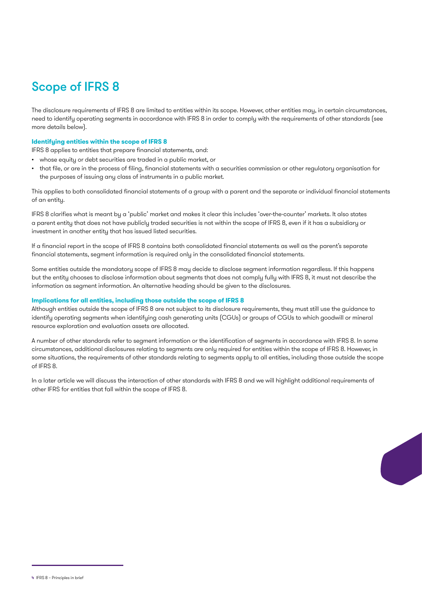## Scope of IFRS 8

The disclosure requirements of IFRS 8 are limited to entities within its scope. However, other entities may, in certain circumstances, need to identify operating segments in accordance with IFRS 8 in order to comply with the requirements of other standards (see more details below).

#### **Identifying entities within the scope of IFRS 8**

IFRS 8 applies to entities that prepare financial statements, and:

- whose equity or debt securities are traded in a public market, or
- that file, or are in the process of filing, financial statements with a securities commission or other regulatory organisation for the purposes of issuing any class of instruments in a public market.

This applies to both consolidated financial statements of a group with a parent and the separate or individual financial statements of an entity.

IFRS 8 clarifies what is meant by a 'public' market and makes it clear this includes 'over-the-counter' markets. It also states a parent entity that does not have publicly traded securities is not within the scope of IFRS 8, even if it has a subsidiary or investment in another entity that has issued listed securities.

If a financial report in the scope of IFRS 8 contains both consolidated financial statements as well as the parent's separate financial statements, segment information is required only in the consolidated financial statements.

Some entities outside the mandatory scope of IFRS 8 may decide to disclose segment information regardless. If this happens but the entity chooses to disclose information about segments that does not comply fully with IFRS 8, it must not describe the information as segment information. An alternative heading should be given to the disclosures.

#### **Implications for all entities, including those outside the scope of IFRS 8**

Although entities outside the scope of IFRS 8 are not subject to its disclosure requirements, they must still use the guidance to identify operating segments when identifying cash generating units (CGUs) or groups of CGUs to which goodwill or mineral resource exploration and evaluation assets are allocated.

A number of other standards refer to segment information or the identification of segments in accordance with IFRS 8. In some circumstances, additional disclosures relating to segments are only required for entities within the scope of IFRS 8. However, in some situations, the requirements of other standards relating to segments apply to all entities, including those outside the scope of IFRS 8.

In a later article we will discuss the interaction of other standards with IFRS 8 and we will highlight additional requirements of other IFRS for entities that fall within the scope of IFRS 8.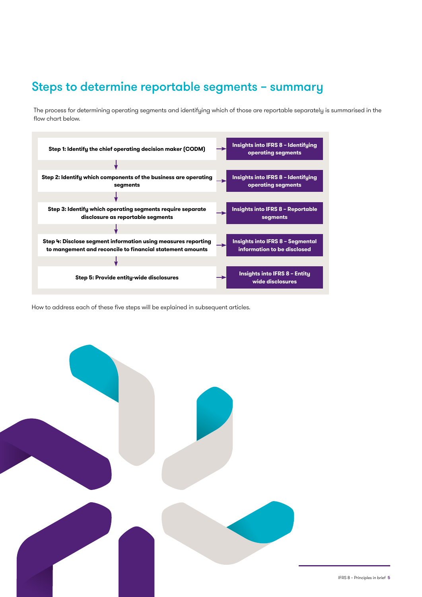## Steps to determine reportable segments – summary

The process for determining operating segments and identifying which of those are reportable separately is summarised in the flow chart below.



How to address each of these five steps will be explained in subsequent articles.